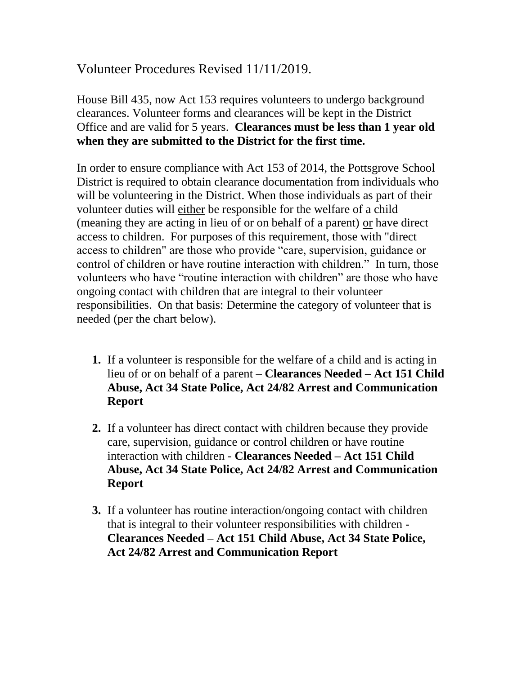## Volunteer Procedures Revised 11/11/2019.

House Bill 435, now Act 153 requires volunteers to undergo background clearances. Volunteer forms and clearances will be kept in the District Office and are valid for 5 years. **Clearances must be less than 1 year old when they are submitted to the District for the first time.**

In order to ensure compliance with Act 153 of 2014, the Pottsgrove School District is required to obtain clearance documentation from individuals who will be volunteering in the District. When those individuals as part of their volunteer duties will either be responsible for the welfare of a child (meaning they are acting in lieu of or on behalf of a parent) or have direct access to children. For purposes of this requirement, those with "direct access to children" are those who provide "care, supervision, guidance or control of children or have routine interaction with children." In turn, those volunteers who have "routine interaction with children" are those who have ongoing contact with children that are integral to their volunteer responsibilities. On that basis: Determine the category of volunteer that is needed (per the chart below).

- **1.** If a volunteer is responsible for the welfare of a child and is acting in lieu of or on behalf of a parent – **Clearances Needed – Act 151 Child Abuse, Act 34 State Police, Act 24/82 Arrest and Communication Report**
- **2.** If a volunteer has direct contact with children because they provide care, supervision, guidance or control children or have routine interaction with children - **Clearances Needed – Act 151 Child Abuse, Act 34 State Police, Act 24/82 Arrest and Communication Report**
- **3.** If a volunteer has routine interaction/ongoing contact with children that is integral to their volunteer responsibilities with children - **Clearances Needed – Act 151 Child Abuse, Act 34 State Police, Act 24/82 Arrest and Communication Report**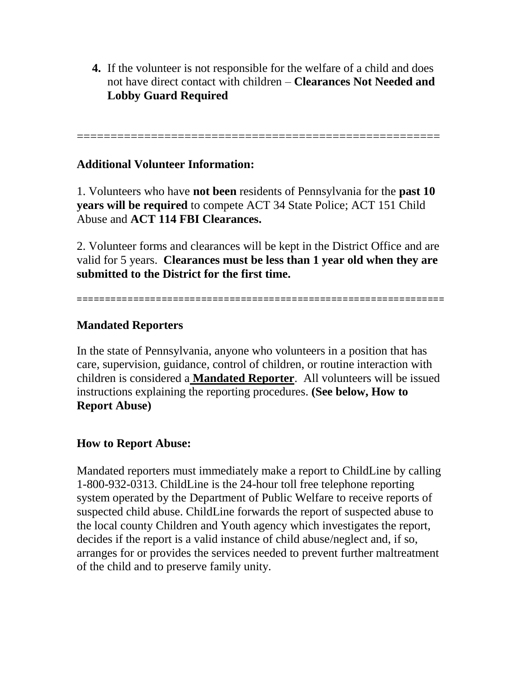**4.** If the volunteer is not responsible for the welfare of a child and does not have direct contact with children – **Clearances Not Needed and Lobby Guard Required**

======================================================

## **Additional Volunteer Information:**

1. Volunteers who have **not been** residents of Pennsylvania for the **past 10 years will be required** to compete ACT 34 State Police; ACT 151 Child Abuse and **ACT 114 FBI Clearances.**

2. Volunteer forms and clearances will be kept in the District Office and are valid for 5 years. **Clearances must be less than 1 year old when they are submitted to the District for the first time.**

=================================================================

## **Mandated Reporters**

In the state of Pennsylvania, anyone who volunteers in a position that has care, supervision, guidance, control of children, or routine interaction with children is considered a **Mandated Reporter**. All volunteers will be issued instructions explaining the reporting procedures. **(See below, How to Report Abuse)**

## **How to Report Abuse:**

Mandated reporters must immediately make a report to ChildLine by calling 1-800-932-0313. ChildLine is the 24-hour toll free telephone reporting system operated by the Department of Public Welfare to receive reports of suspected child abuse. ChildLine forwards the report of suspected abuse to the local county Children and Youth agency which investigates the report, decides if the report is a valid instance of child abuse/neglect and, if so, arranges for or provides the services needed to prevent further maltreatment of the child and to preserve family unity.